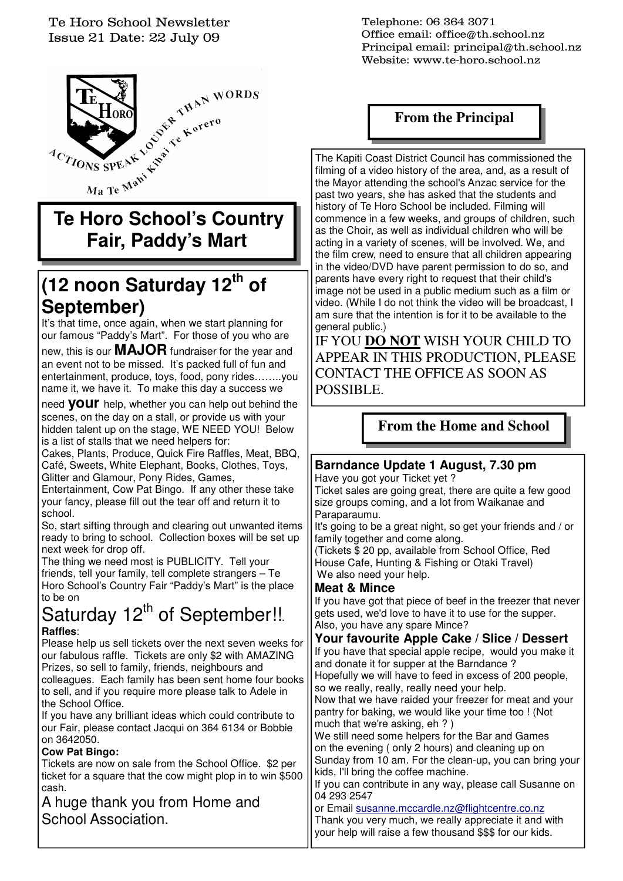#### Te Horo School Newsletter Issue 21 Date: 22 July 09



# **Fair, Paddy's Mart**

# **(12 noon Saturday 12th of September)**

It's that time, once again, when we start planning for our famous "Paddy's Mart". For those of you who are

new, this is our **MAJOR** fundraiser for the year and an event not to be missed. It's packed full of fun and entertainment, produce, toys, food, pony rides……..you name it, we have it. To make this day a success we

need **your** help, whether you can help out behind the scenes, on the day on a stall, or provide us with your hidden talent up on the stage, WE NEED YOU! Below is a list of stalls that we need helpers for:

Cakes, Plants, Produce, Quick Fire Raffles, Meat, BBQ, Café, Sweets, White Elephant, Books, Clothes, Toys, Glitter and Glamour, Pony Rides, Games,

Entertainment, Cow Pat Bingo. If any other these take your fancy, please fill out the tear off and return it to school.

So, start sifting through and clearing out unwanted items ready to bring to school. Collection boxes will be set up next week for drop off.

The thing we need most is PUBLICITY. Tell your friends, tell your family, tell complete strangers – Te Horo School's Country Fair "Paddy's Mart" is the place to be on

## Saturday  $12<sup>th</sup>$  of September!!. **Raffles**:

Please help us sell tickets over the next seven weeks for our fabulous raffle. Tickets are only \$2 with AMAZING Prizes, so sell to family, friends, neighbours and colleagues. Each family has been sent home four books to sell, and if you require more please talk to Adele in the School Office.

If you have any brilliant ideas which could contribute to our Fair, please contact Jacqui on 364 6134 or Bobbie on 3642050.

#### **Cow Pat Bingo:**

Tickets are now on sale from the School Office. \$2 per ticket for a square that the cow might plop in to win \$500 cash.

A huge thank you from Home and School Association.

Telephone: 06 364 3071 Office email: office@th.school.nz Principal email: principal@th.school.nz Website: www.te-horo.school.nz

## **From the Principal**

The Kapiti Coast District Council has commissioned the filming of a video history of the area, and, as a result of the Mayor attending the school's Anzac service for the past two years, she has asked that the students and history of Te Horo School be included. Filming will commence in a few weeks, and groups of children, such as the Choir, as well as individual children who will be acting in a variety of scenes, will be involved. We, and the film crew, need to ensure that all children appearing in the video/DVD have parent permission to do so, and parents have every right to request that their child's image not be used in a public medium such as a film or video. (While I do not think the video will be broadcast, I am sure that the intention is for it to be available to the general public.)

IF YOU **DO NOT** WISH YOUR CHILD TO APPEAR IN THIS PRODUCTION, PLEASE CONTACT THE OFFICE AS SOON AS POSSIBLE.

## **From the Home and School**

#### **Barndance Update 1 August, 7.30 pm**  Have you got your Ticket yet ?

Ticket sales are going great, there are quite a few good size groups coming, and a lot from Waikanae and Paraparaumu.

It's going to be a great night, so get your friends and / or family together and come along.

(Tickets \$ 20 pp, available from School Office, Red House Cafe, Hunting & Fishing or Otaki Travel) We also need your help.

#### **Meat & Mince**

If you have got that piece of beef in the freezer that never gets used, we'd love to have it to use for the supper. Also, you have any spare Mince?

#### **Your favourite Apple Cake / Slice / Dessert**

If you have that special apple recipe, would you make it and donate it for supper at the Barndance ? Hopefully we will have to feed in excess of 200 people,

so we really, really, really need your help. Now that we have raided your freezer for meat and your pantry for baking, we would like your time too ! (Not

much that we're asking, eh ? ) We still need some helpers for the Bar and Games on the evening ( only 2 hours) and cleaning up on Sunday from 10 am. For the clean-up, you can bring your kids, I'll bring the coffee machine.

If you can contribute in any way, please call Susanne on 04 293 2547

or Email susanne.mccardle.nz@flightcentre.co.nz Thank you very much, we really appreciate it and with your help will raise a few thousand \$\$\$ for our kids.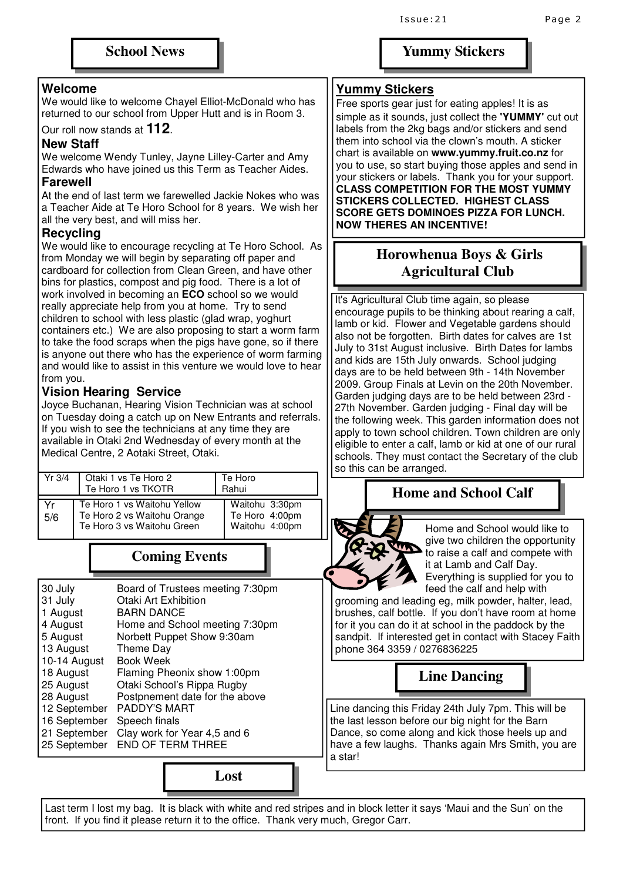#### **Welcome**

We would like to welcome Chayel Elliot-McDonald who has returned to our school from Upper Hutt and is in Room 3.

Our roll now stands at **112**.

#### **New Staff**

We welcome Wendy Tunley, Jayne Lilley-Carter and Amy Edwards who have joined us this Term as Teacher Aides.

#### **Farewell**

At the end of last term we farewelled Jackie Nokes who was a Teacher Aide at Te Horo School for 8 years. We wish her all the very best, and will miss her.

#### **Recycling**

We would like to encourage recycling at Te Horo School. As from Monday we will begin by separating off paper and cardboard for collection from Clean Green, and have other bins for plastics, compost and pig food. There is a lot of work involved in becoming an **ECO** school so we would really appreciate help from you at home. Try to send children to school with less plastic (glad wrap, yoghurt containers etc.) We are also proposing to start a worm farm to take the food scraps when the pigs have gone, so if there is anyone out there who has the experience of worm farming and would like to assist in this venture we would love to hear from you.

#### **Vision Hearing Service**

Yr 3/4 | Otaki 1 vs Te Horo 2

Te Horo 1 vs TKOTR

Joyce Buchanan, Hearing Vision Technician was at school on Tuesday doing a catch up on New Entrants and referrals. If you wish to see the technicians at any time they are available in Otaki 2nd Wednesday of every month at the Medical Centre, 2 Aotaki Street, Otaki.

#### **Yummy Stickers**

Free sports gear just for eating apples! It is as simple as it sounds, just collect the **'YUMMY'** cut out labels from the 2kg bags and/or stickers and send them into school via the clown's mouth. A sticker chart is available on **www.yummy.fruit.co.nz** for you to use, so start buying those apples and send in your stickers or labels. Thank you for your support. **CLASS COMPETITION FOR THE MOST YUMMY STICKERS COLLECTED. HIGHEST CLASS SCORE GETS DOMINOES PIZZA FOR LUNCH. NOW THERES AN INCENTIVE!** 

### **Horowhenua Boys & Girls Agricultural Club**

 It's Agricultural Club time again, so please encourage pupils to be thinking about rearing a calf, lamb or kid. Flower and Vegetable gardens should also not be forgotten. Birth dates for calves are 1st July to 31st August inclusive. Birth Dates for lambs and kids are 15th July onwards. School judging days are to be held between 9th - 14th November 2009. Group Finals at Levin on the 20th November. Garden judging days are to be held between 23rd - 27th November. Garden judging - Final day will be the following week. This garden information does not apply to town school children. Town children are only eligible to enter a calf, lamb or kid at one of our rural schools. They must contact the Secretary of the club so this can be arranged.

## **Home and School Calf**

Home and School would like to give two children the opportunity to raise a calf and compete with it at Lamb and Calf Day. Everything is supplied for you to feed the calf and help with

grooming and leading eg, milk powder, halter, lead, brushes, calf bottle. If you don't have room at home for it you can do it at school in the paddock by the sandpit. If interested get in contact with Stacey Faith phone 364 3359 / 0276836225

**Line Dancing** 

Line dancing this Friday 24th July 7pm. This will be the last lesson before our big night for the Barn Dance, so come along and kick those heels up and have a few laughs. Thanks again Mrs Smith, you are a star!

Last term I lost my bag. It is black with white and red stripes and in block letter it says 'Maui and the Sun' on the front. If you find it please return it to the office. Thank very much, Gregor Carr.



Te Horo Rahui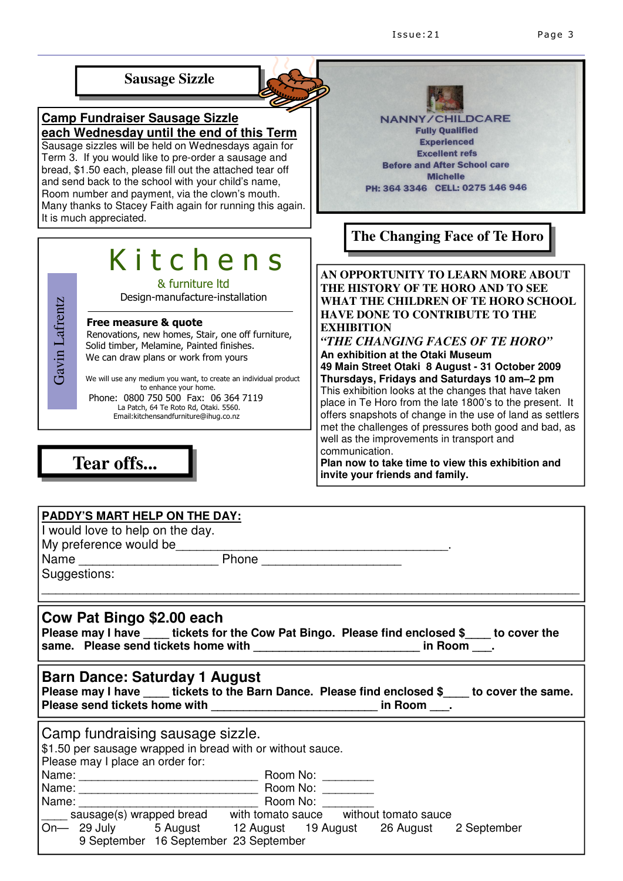

#### Free measure & quote

 Renovations, new homes, Stair, one off furniture, Solid timber, Melamine, Painted finishes. We can draw plans or work from yours Design-manufacture-instal<br>
Free measure & quote<br>
Renovations, new homes, Stair, one of<br>
Solid timber, Melamine, Painted finish<br>
We can draw plans or work from you<br>
We will use any medium you want, to create an<br>
to enhance

 We will use any medium you want, to create an individual product to enhance your home. Phone: 0800 750 500 Fax: 06 364 7119

La Patch, 64 Te Roto Rd, Otaki. 5560.<br>Email:kitchensandfurniture@ihug.co.nz

**Tear offs...** 

**EXHIBITION** *"THE CHANGING FACES OF TE HORO"* **An exhibition at the Otaki Museum 49 Main Street Otaki 8 August - 31 October 2009 Thursdays, Fridays and Saturdays 10 am–2 pm** This exhibition looks at the changes that have taken place in Te Horo from the late 1800's to the present. It offers snapshots of change in the use of land as settlers met the challenges of pressures both good and bad, as well as the improvements in transport and communication.

**Plan now to take time to view this exhibition and invite your friends and family.** 

| <b>PADDY'S MART HELP ON THE DAY:</b>                                                                                                                                                                                           |
|--------------------------------------------------------------------------------------------------------------------------------------------------------------------------------------------------------------------------------|
| I would love to help on the day.                                                                                                                                                                                               |
| My preference would be example and the state of the state of the state of the state of the state of the state of the state of the state of the state of the state of the state of the state of the state of the state of the s |
|                                                                                                                                                                                                                                |
| Suggestions:                                                                                                                                                                                                                   |
| Cow Pat Bingo \$2.00 each<br>Please may I have ____ tickets for the Cow Pat Bingo. Please find enclosed \$____ to cover the<br>same. Please send tickets home with __________________________________ in Room ____.            |
| <b>Barn Dance: Saturday 1 August</b><br>Please may I have ____ tickets to the Barn Dance. Please find enclosed \$____ to cover the same.<br>Please send tickets home with ________________________________ in Room ____.       |
| Camp fundraising sausage sizzle.<br>\$1.50 per sausage wrapped in bread with or without sauce.<br>Please may I place an order for:                                                                                             |
|                                                                                                                                                                                                                                |
|                                                                                                                                                                                                                                |
|                                                                                                                                                                                                                                |
|                                                                                                                                                                                                                                |
| On- 29 July 5 August 12 August 19 August 26 August 2 September<br>9 September 16 September 23 September                                                                                                                        |